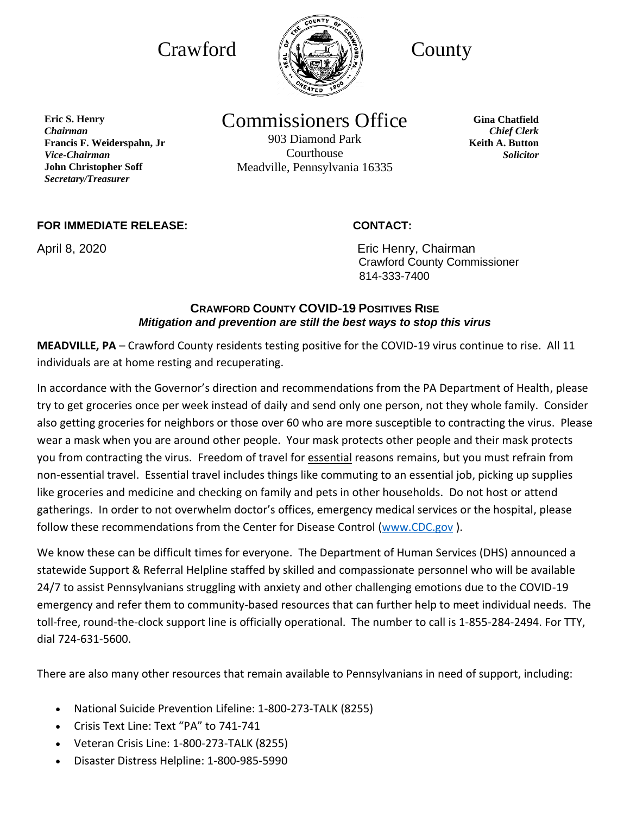

Commissioners Office

903 Diamond Park Courthouse Meadville, Pennsylvania 16335

**Gina Chatfield** *Chief Clerk* **Keith A. Button** *Solicitor*

## **FOR IMMEDIATE RELEASE: CONTACT:**

**Francis F. Weiderspahn, Jr** 

**John Christopher Soff** *Secretary/Treasurer*

**Eric S. Henry** *Chairman*

*Vice-Chairman*

April 8, 2020 **April 8, 2020 Existing Lines Except** Eric Henry, Chairman Crawford County Commissioner 814-333-7400

# **CRAWFORD COUNTY COVID-19 POSITIVES RISE** *Mitigation and prevention are still the best ways to stop this virus*

**MEADVILLE, PA** – Crawford County residents testing positive for the COVID-19 virus continue to rise. All 11 individuals are at home resting and recuperating.

In accordance with the Governor's direction and recommendations from the PA Department of Health, please try to get groceries once per week instead of daily and send only one person, not they whole family. Consider also getting groceries for neighbors or those over 60 who are more susceptible to contracting the virus. Please wear a mask when you are around other people. Your mask protects other people and their mask protects you from contracting the virus. Freedom of travel for essential reasons remains, but you must refrain from non-essential travel. Essential travel includes things like commuting to an essential job, picking up supplies like groceries and medicine and checking on family and pets in other households. Do not host or attend gatherings. In order to not overwhelm doctor's offices, emergency medical services or the hospital, please follow these recommendations from the Center for Disease Control [\(www.CDC.gov](http://www.cdc.gov/) ).

We know these can be difficult times for everyone. The Department of Human Services (DHS) announced a statewide Support & Referral Helpline staffed by skilled and compassionate personnel who will be available 24/7 to assist Pennsylvanians struggling with anxiety and other challenging emotions due to the COVID-19 emergency and refer them to community-based resources that can further help to meet individual needs. The toll-free, round-the-clock support line is officially operational. The number to call is 1-855-284-2494. For TTY, dial 724-631-5600.

There are also many other resources that remain available to Pennsylvanians in need of support, including:

- National Suicide Prevention Lifeline: 1-800-273-TALK (8255)
- Crisis Text Line: Text "PA" to 741-741
- Veteran Crisis Line: 1-800-273-TALK (8255)
- Disaster Distress Helpline: 1-800-985-5990